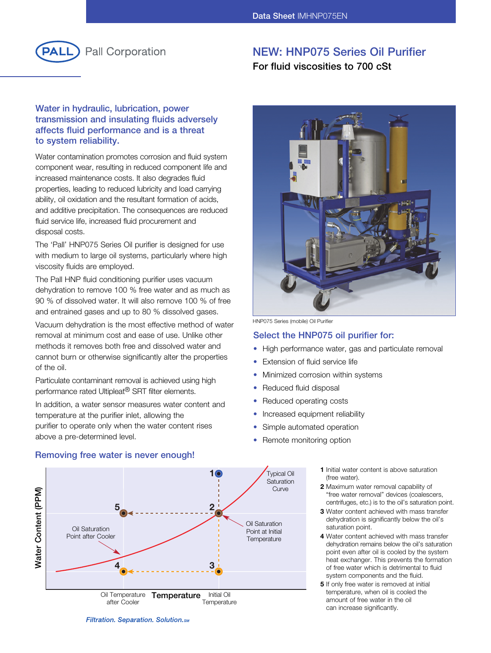

# **NEW: HNP075 Series Oil Purifier**

**For fluid viscosities to 700 cSt**

# **Water in hydraulic, lubrication, power transmission and insulating fluids adversely affects fluid performance and is a threat to system reliability.**

Water contamination promotes corrosion and fluid system component wear, resulting in reduced component life and increased maintenance costs. It also degrades fluid properties, leading to reduced lubricity and load carrying ability, oil oxidation and the resultant formation of acids, and additive precipitation. The consequences are reduced fluid service life, increased fluid procurement and disposal costs.

The 'Pall' HNP075 Series Oil purifier is designed for use with medium to large oil systems, particularly where high viscosity fluids are employed.

The Pall HNP fluid conditioning purifier uses vacuum dehydration to remove 100 % free water and as much as 90 % of dissolved water. It will also remove 100 % of free and entrained gases and up to 80 % dissolved gases.

Vacuum dehydration is the most effective method of water removal at minimum cost and ease of use. Unlike other methods it removes both free and dissolved water and cannot burn or otherwise significantly alter the properties of the oil.

Particulate contaminant removal is achieved using high performance rated Ultipleat® SRT filter elements.

In addition, a water sensor measures water content and temperature at the purifier inlet, allowing the purifier to operate only when the water content rises above a pre-determined level.



HNP075 Series (mobile) Oil Purifier

### **Select the HNP075 oil purifier for:**

- High performance water, gas and particulate removal
- Extension of fluid service life
- Minimized corrosion within systems
- Reduced fluid disposal
- Reduced operating costs
- Increased equipment reliability
- Simple automated operation
- Remote monitoring option
	- **1** Initial water content is above saturation (free water).
	- **2** Maximum water removal capability of "free water removal" devices (coalescers, centrifuges, etc.) is to the oil's saturation point.
	- **3** Water content achieved with mass transfer dehydration is significantly below the oil's saturation point.
	- **4** Water content achieved with mass transfer dehydration remains below the oil's saturation point even after oil is cooled by the system heat exchanger. This prevents the formation of free water which is detrimental to fluid system components and the fluid.
	- **5** If only free water is removed at initial temperature, when oil is cooled the amount of free water in the oil can increase significantly.

### Filtration. Separation. Solution. SM